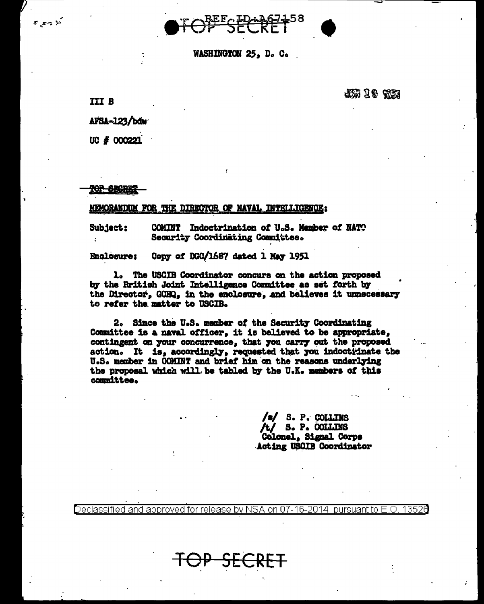

WASHINGTON 25, D. C.

**III B** 

أذوجت

JUN 18 653

AFSA-123/bdw

UC # 000221

T<del>op Sigret</del>

## **MEMORANDIM FOR THE** DIRECTOR OF NAVAL INTELLIGENCE:

Subject: **COMINT** Indoctrination of U.S. Member of NATO Security Coordinating Committee.

Copy of DGC/1687 dated 1 May 1951 **Enclosure:** 

1. The USCIB Coordinator concurs on the action proposed by the Rritish Joint Intelligence Committee as set forth by the Director, GCHQ, in the enclosure, and believes it unnecessary to refer the matter to USCIB.

2. Since the U.S. member of the Security Coordinating Committee is a naval officer, it is believed to be appropriate, contingent on your concurrence, that you carry out the proposed action. It is, accordingly, requested that you indoctrinate the U.S. member in COMINT and brief him on the reasons underlying the proposal which will be tabled by the U.K. members of this committee.

> /s/ S. P. COLLINS /t/ s. P. COLLINS Colonel, Signal Corps **Acting USCIB Coordinator**

Declassified and approved for release by NSA on 07-16-2014 13521 pursuant to E.O

IP SECRET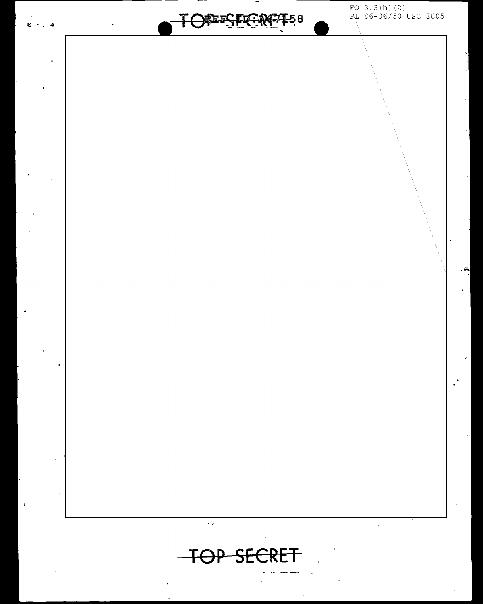$EO$  3.3(h)(2)<br> $P<sub>L</sub>$  86-36/50 USC 3605 **FEESTOFREZT58**  $\sim$   $\approx$  $\bar{f}$  $\ddot{\phantom{1}}$  $\epsilon$  . TOP SECRET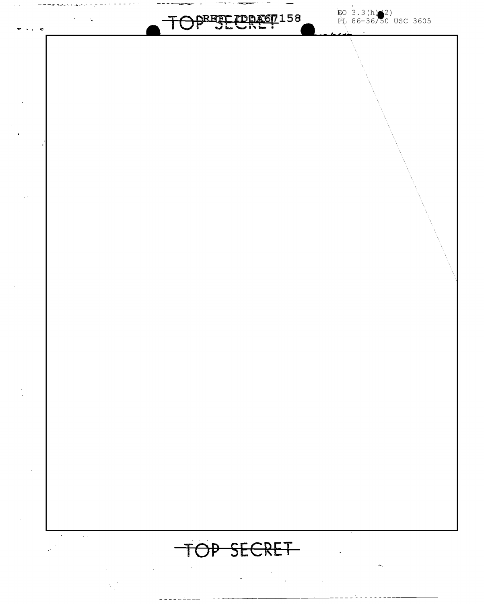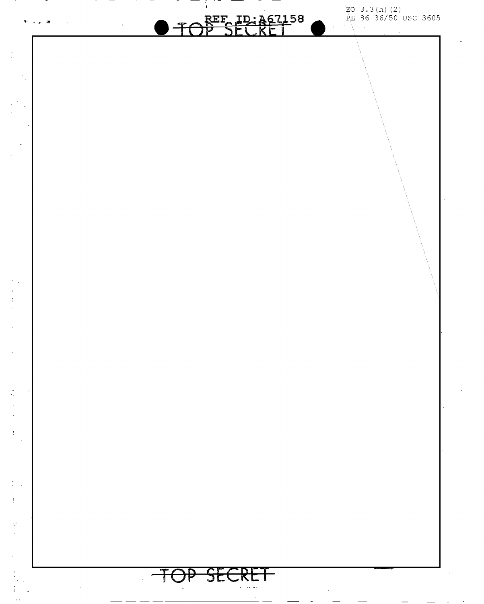